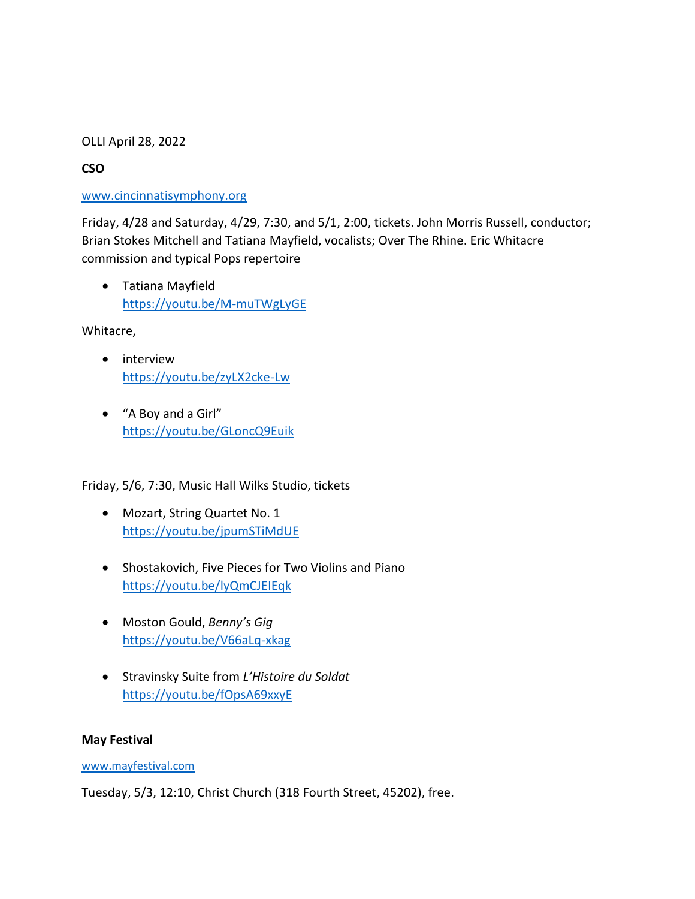## OLLI April 28, 2022

# **CSO**

# [www.cincinnatisymphony.org](http://www.cincinnatisymphony.org/)

Friday, 4/28 and Saturday, 4/29, 7:30, and 5/1, 2:00, tickets. John Morris Russell, conductor; Brian Stokes Mitchell and Tatiana Mayfield, vocalists; Over The Rhine. Eric Whitacre commission and typical Pops repertoire

• Tatiana Mayfield <https://youtu.be/M-muTWgLyGE>

Whitacre,

- interview <https://youtu.be/zyLX2cke-Lw>
- "A Boy and a Girl" <https://youtu.be/GLoncQ9Euik>

Friday, 5/6, 7:30, Music Hall Wilks Studio, tickets

- Mozart, String Quartet No. 1 <https://youtu.be/jpumSTiMdUE>
- Shostakovich, Five Pieces for Two Violins and Piano <https://youtu.be/lyQmCJEIEqk>
- Moston Gould, *Benny's Gig* <https://youtu.be/V66aLq-xkag>
- Stravinsky Suite from *L'Histoire du Soldat* <https://youtu.be/fOpsA69xxyE>

## **May Festival**

## [www.mayfestival.com](http://www.mayfestival.com/)

Tuesday, 5/3, 12:10, Christ Church (318 Fourth Street, 45202), free.